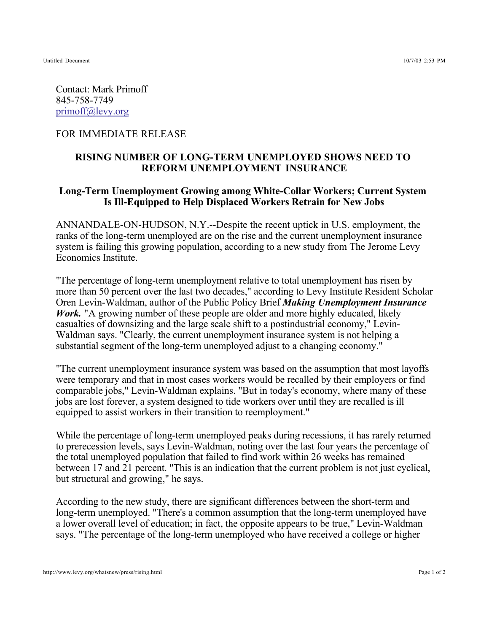Untitled Document 10/7/03 2:53 PM

Contact: Mark Primoff 845-758-7749 primoff@levy.org

## FOR IMMEDIATE RELEASE

## **RISING NUMBER OF LONG-TERM UNEMPLOYED SHOWS NEED TO REFORM UNEMPLOYMENT INSURANCE**

## **Long-Term Unemployment Growing among White-Collar Workers; Current System Is Ill-Equipped to Help Displaced Workers Retrain for New Jobs**

ANNANDALE-ON-HUDSON, N.Y.--Despite the recent uptick in U.S. employment, the ranks of the long-term unemployed are on the rise and the current unemployment insurance system is failing this growing population, according to a new study from The Jerome Levy Economics Institute.

"The percentage of long-term unemployment relative to total unemployment has risen by more than 50 percent over the last two decades," according to Levy Institute Resident Scholar Oren Levin-Waldman, author of the Public Policy Brief *Making Unemployment Insurance Work*. "A growing number of these people are older and more highly educated, likely casualties of downsizing and the large scale shift to a postindustrial economy," Levin-Waldman says. "Clearly, the current unemployment insurance system is not helping a substantial segment of the long-term unemployed adjust to a changing economy."

"The current unemployment insurance system was based on the assumption that most layoffs were temporary and that in most cases workers would be recalled by their employers or find comparable jobs," Levin-Waldman explains. "But in today's economy, where many of these jobs are lost forever, a system designed to tide workers over until they are recalled is ill equipped to assist workers in their transition to reemployment."

While the percentage of long-term unemployed peaks during recessions, it has rarely returned to prerecession levels, says Levin-Waldman, noting over the last four years the percentage of the total unemployed population that failed to find work within 26 weeks has remained between 17 and 21 percent. "This is an indication that the current problem is not just cyclical, but structural and growing," he says.

According to the new study, there are significant differences between the short-term and long-term unemployed. "There's a common assumption that the long-term unemployed have a lower overall level of education; in fact, the opposite appears to be true," Levin-Waldman says. "The percentage of the long-term unemployed who have received a college or higher